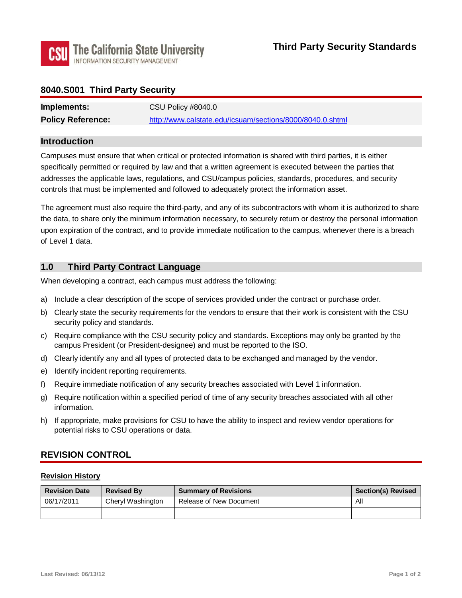

## **8040.S001 Third Party Security**

| Implements:              | CSU Policy #8040.0                                        |
|--------------------------|-----------------------------------------------------------|
| <b>Policy Reference:</b> | http://www.calstate.edu/icsuam/sections/8000/8040.0.shtml |

#### **Introduction**

 Campuses must ensure that when critical or protected information is shared with third parties, it is either specifically permitted or required by law and that a written agreement is executed between the parties that addresses the applicable laws, regulations, and CSU/campus policies, standards, procedures, and security controls that must be implemented and followed to adequately protect the information asset.

The agreement must also require the third-party, and any of its subcontractors with whom it is authorized to share the data, to share only the minimum information necessary, to securely return or destroy the personal information upon expiration of the contract, and to provide immediate notification to the campus, whenever there is a breach of Level 1 data.

## **1.0 Third Party Contract Language**

When developing a contract, each campus must address the following:

- a) Include a clear description of the scope of services provided under the contract or purchase order.
- b) Clearly state the security requirements for the vendors to ensure that their work is consistent with the CSU security policy and standards.
- c) Require compliance with the CSU security policy and standards. Exceptions may only be granted by the campus President (or President-designee) and must be reported to the ISO.
- d) Clearly identify any and all types of protected data to be exchanged and managed by the vendor.
- e) Identify incident reporting requirements.
- f) Require immediate notification of any security breaches associated with Level 1 information.
- g) Require notification within a specified period of time of any security breaches associated with all other information.
- h) If appropriate, make provisions for CSU to have the ability to inspect and review vendor operations for potential risks to CSU operations or data.

## **REVISION CONTROL**

#### **Revision History**

| <b>Revision Date</b> | <b>Revised By</b> | <b>Summary of Revisions</b> | <b>Section(s) Revised</b> |
|----------------------|-------------------|-----------------------------|---------------------------|
| 06/17/2011           | Cheryl Washington | Release of New Document     | All                       |
|                      |                   |                             |                           |